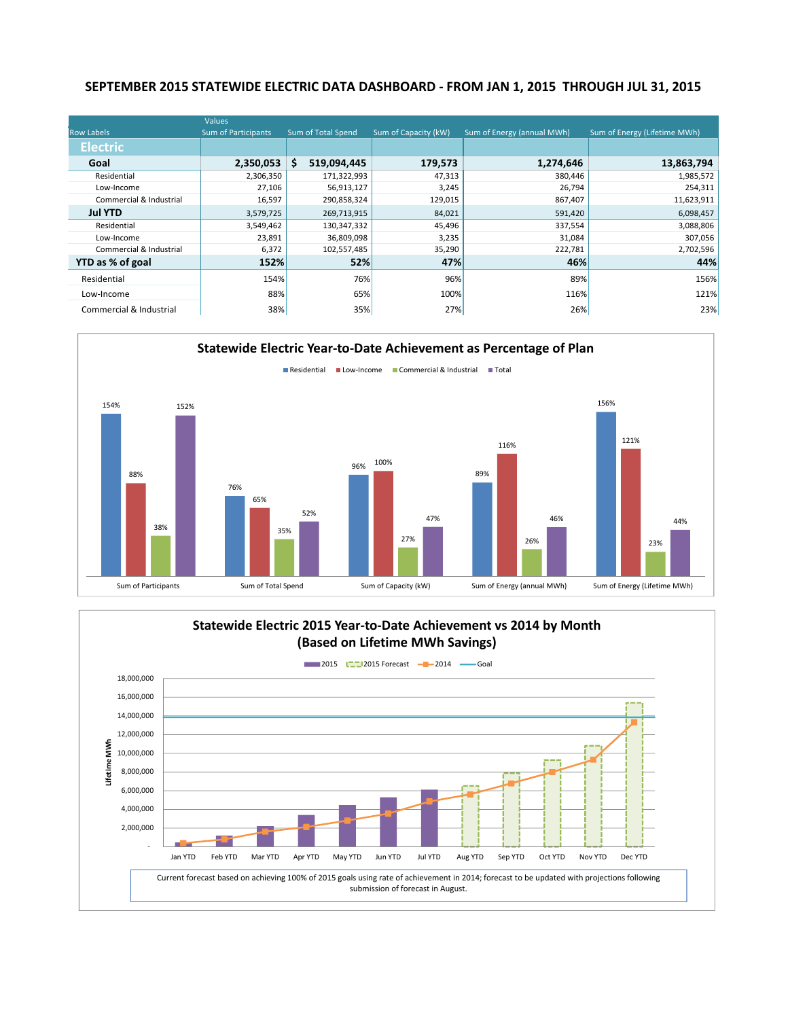### **SEPTEMBER 2015 STATEWIDE ELECTRIC DATA DASHBOARD - FROM JAN 1, 2015 THROUGH JUL 31, 2015**

|                         | Values                     |                    |                      |                            |                              |
|-------------------------|----------------------------|--------------------|----------------------|----------------------------|------------------------------|
| <b>Row Labels</b>       | <b>Sum of Participants</b> | Sum of Total Spend | Sum of Capacity (kW) | Sum of Energy (annual MWh) | Sum of Energy (Lifetime MWh) |
| <b>Electric</b>         |                            |                    |                      |                            |                              |
| Goal                    | 2,350,053                  | \$<br>519,094,445  | 179,573              | 1,274,646                  | 13,863,794                   |
| Residential             | 2,306,350                  | 171,322,993        | 47,313               | 380,446                    | 1,985,572                    |
| Low-Income              | 27,106                     | 56,913,127         | 3,245                | 26,794                     | 254,311                      |
| Commercial & Industrial | 16,597                     | 290,858,324        | 129,015              | 867,407                    | 11,623,911                   |
| <b>Jul YTD</b>          | 3,579,725                  | 269,713,915        | 84,021               | 591,420                    | 6,098,457                    |
| Residential             | 3,549,462                  | 130,347,332        | 45,496               | 337,554                    | 3,088,806                    |
| Low-Income              | 23,891                     | 36,809,098         | 3,235                | 31,084                     | 307,056                      |
| Commercial & Industrial | 6,372                      | 102,557,485        | 35,290               | 222,781                    | 2,702,596                    |
| YTD as % of goal        | 152%                       | 52%                | 47%                  | 46%                        | 44%                          |
| Residential             | 154%                       | 76%                | 96%                  | 89%                        | 156%                         |
| Low-Income              | 88%                        | 65%                | 100%                 | 116%                       | 121%                         |
| Commercial & Industrial | 38%                        | 35%                | 27%                  | 26%                        | 23%                          |



### **Statewide Electric 2015 Year-to-Date Achievement vs 2014 by Month (Based on Lifetime MWh Savings) 2015 12015 Forecast** - 2014 - Goal 18,000,000 16,000,000 14,000,000 12,000,000 .ifetime MWh **Lifetime MWh** 10,000,000 8,000,000 6,000,000 4,000,000 2,000,000 - Jan YTD Feb YTD Mar YTD Apr YTD May YTD Jun YTD Jul YTD Aug YTD Sep YTD Oct YTD Nov YTD Dec YTD Current forecast based on achieving 100% of 2015 goals using rate of achievement in 2014; forecast to be updated with projections following submission of forecast in August.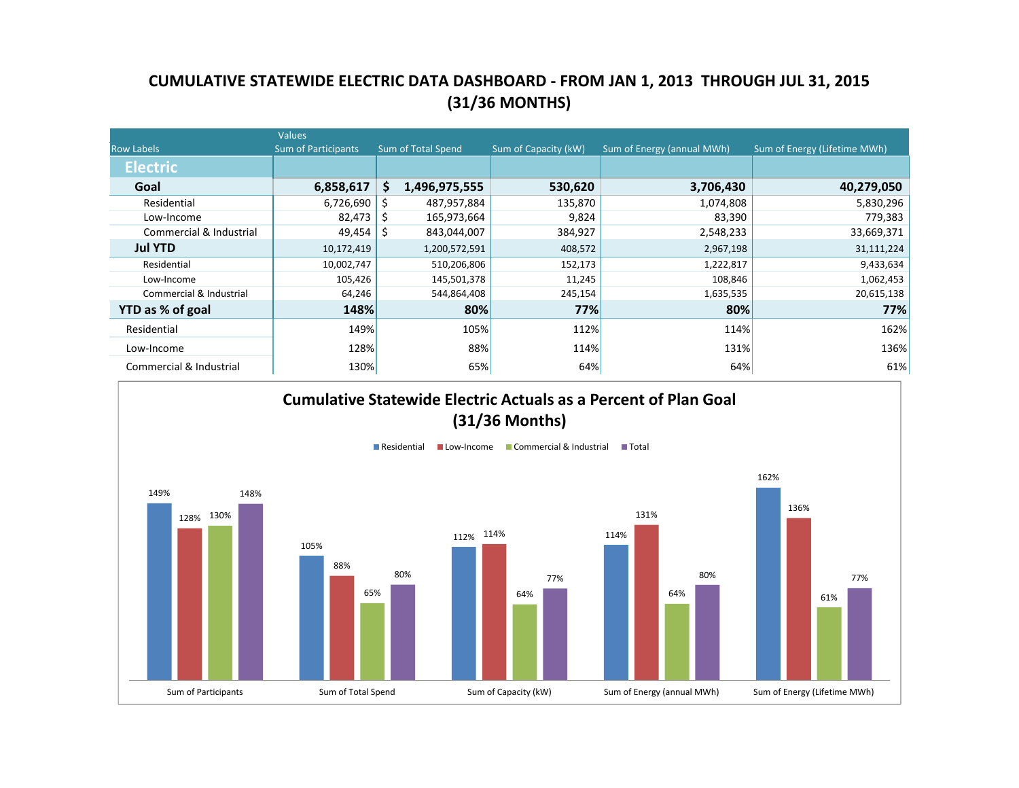## **CUMULATIVE STATEWIDE ELECTRIC DATA DASHBOARD - FROM JAN 1, 2013 THROUGH JUL 31, 2015 (31/36 MONTHS)**

|                         | <b>Values</b>              |    |                    |                      |                            |                              |
|-------------------------|----------------------------|----|--------------------|----------------------|----------------------------|------------------------------|
| <b>Row Labels</b>       | <b>Sum of Participants</b> |    | Sum of Total Spend | Sum of Capacity (kW) | Sum of Energy (annual MWh) | Sum of Energy (Lifetime MWh) |
| <b>Electric</b>         |                            |    |                    |                      |                            |                              |
| Goal                    | 6,858,617                  | S. | 1,496,975,555      | 530,620              | 3,706,430                  | 40,279,050                   |
| Residential             | 6,726,690                  | S  | 487,957,884        | 135,870              | 1,074,808                  | 5,830,296                    |
| Low-Income              | 82,473                     |    | 165,973,664        | 9,824                | 83,390                     | 779,383                      |
| Commercial & Industrial | 49,454                     |    | 843,044,007        | 384,927              | 2,548,233                  | 33,669,371                   |
| <b>Jul YTD</b>          | 10,172,419                 |    | 1,200,572,591      | 408,572              | 2,967,198                  | 31,111,224                   |
| Residential             | 10,002,747                 |    | 510,206,806        | 152,173              | 1,222,817                  | 9,433,634                    |
| Low-Income              | 105,426                    |    | 145,501,378        | 11,245               | 108,846                    | 1,062,453                    |
| Commercial & Industrial | 64,246                     |    | 544,864,408        | 245,154              | 1,635,535                  | 20,615,138                   |
| YTD as % of goal        | 148%                       |    | 80%                | 77%                  | 80%                        | 77%                          |
| Residential             | 149%                       |    | 105%               | 112%                 | 114%                       | 162%                         |
| Low-Income              | 128%                       |    | 88%                | 114%                 | 131%                       | 136%                         |
| Commercial & Industrial | 130%                       |    | 65%                | 64%                  | 64%                        | 61%                          |

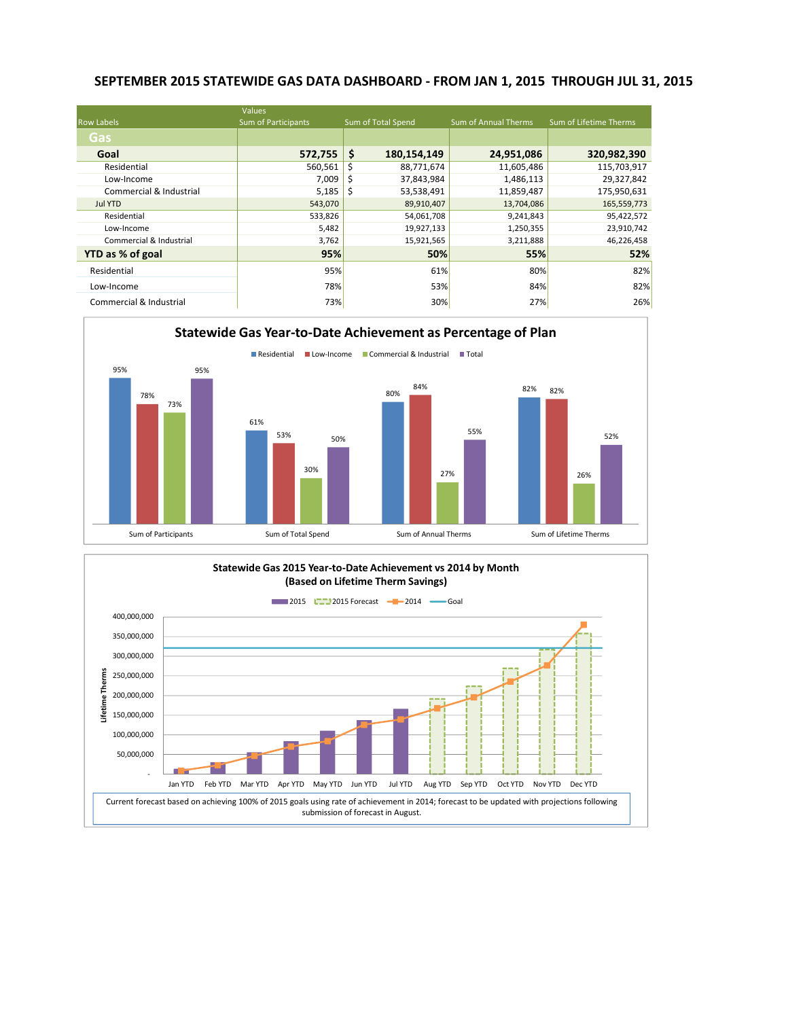### **SEPTEMBER 2015 STATEWIDE GAS DATA DASHBOARD - FROM JAN 1, 2015 THROUGH JUL 31, 2015**

|                         | Values                     |                    |                             |                        |
|-------------------------|----------------------------|--------------------|-----------------------------|------------------------|
| <b>Row Labels</b>       | <b>Sum of Participants</b> | Sum of Total Spend | <b>Sum of Annual Therms</b> | Sum of Lifetime Therms |
| Gas                     |                            |                    |                             |                        |
| Goal                    | 572,755                    | \$<br>180,154,149  | 24,951,086                  | 320,982,390            |
| Residential             | 560,561                    | Ś<br>88,771,674    | 11,605,486                  | 115,703,917            |
| Low-Income              | 7,009                      | 37,843,984         | 1,486,113                   | 29,327,842             |
| Commercial & Industrial | 5,185                      | 53,538,491<br>S    | 11,859,487                  | 175,950,631            |
| <b>Jul YTD</b>          | 543,070                    | 89,910,407         | 13,704,086                  | 165,559,773            |
| Residential             | 533,826                    | 54,061,708         | 9,241,843                   | 95,422,572             |
| Low-Income              | 5,482                      | 19,927,133         | 1,250,355                   | 23,910,742             |
| Commercial & Industrial | 3,762                      | 15,921,565         | 3,211,888                   | 46,226,458             |
| YTD as % of goal        | 95%                        |                    | 50%<br>55%                  | 52%                    |
| Residential             | 95%                        |                    | 61%<br>80%                  | 82%                    |
| Low-Income              | 78%                        |                    | 53%<br>84%                  | 82%                    |
| Commercial & Industrial | 73%                        |                    | 27%<br>30%                  | 26%                    |